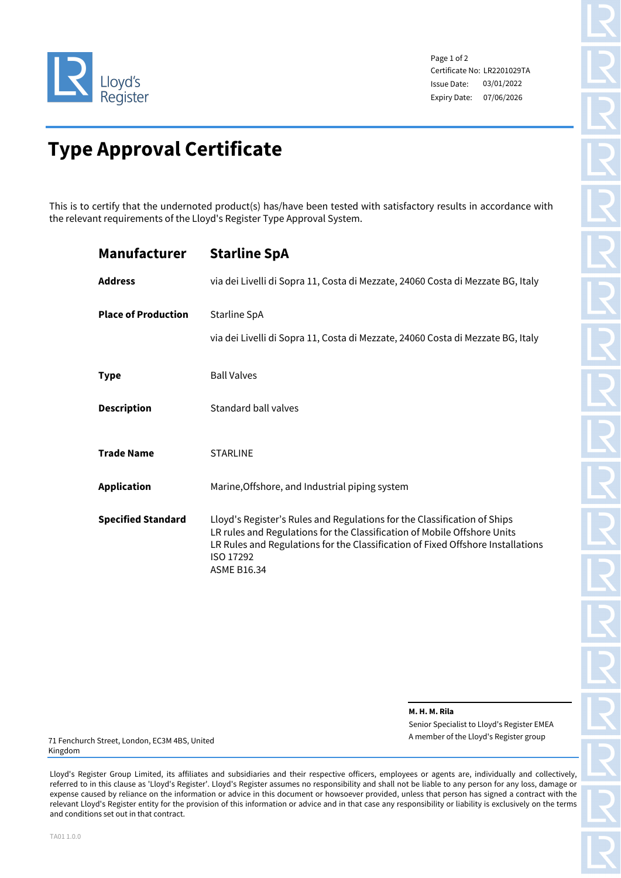

Page 1 of 2 Certificate No: LR2201029TA Issue Date: Expiry Date: 07/06/2026 03/01/2022

# **Type Approval Certificate**

This is to certify that the undernoted product(s) has/have been tested with satisfactory results in accordance with the relevant requirements of the Lloyd's Register Type Approval System.

| <b>Manufacturer</b>        | <b>Starline SpA</b>                                                                                                                                                                                                                                                        |
|----------------------------|----------------------------------------------------------------------------------------------------------------------------------------------------------------------------------------------------------------------------------------------------------------------------|
| <b>Address</b>             | via dei Livelli di Sopra 11, Costa di Mezzate, 24060 Costa di Mezzate BG, Italy                                                                                                                                                                                            |
| <b>Place of Production</b> | Starline SpA<br>via dei Livelli di Sopra 11, Costa di Mezzate, 24060 Costa di Mezzate BG, Italy                                                                                                                                                                            |
| <b>Type</b>                | <b>Ball Valves</b>                                                                                                                                                                                                                                                         |
| <b>Description</b>         | <b>Standard ball valves</b>                                                                                                                                                                                                                                                |
| <b>Trade Name</b>          | <b>STARLINE</b>                                                                                                                                                                                                                                                            |
| <b>Application</b>         | Marine, Offshore, and Industrial piping system                                                                                                                                                                                                                             |
| <b>Specified Standard</b>  | Lloyd's Register's Rules and Regulations for the Classification of Ships<br>LR rules and Regulations for the Classification of Mobile Offshore Units<br>LR Rules and Regulations for the Classification of Fixed Offshore Installations<br>ISO 17292<br><b>ASME B16.34</b> |

**M. H. M. Rila**

Senior Specialist to Lloyd's Register EMEA A member of the Lloyd's Register group

71 Fenchurch Street, London, EC3M 4BS, United Kingdom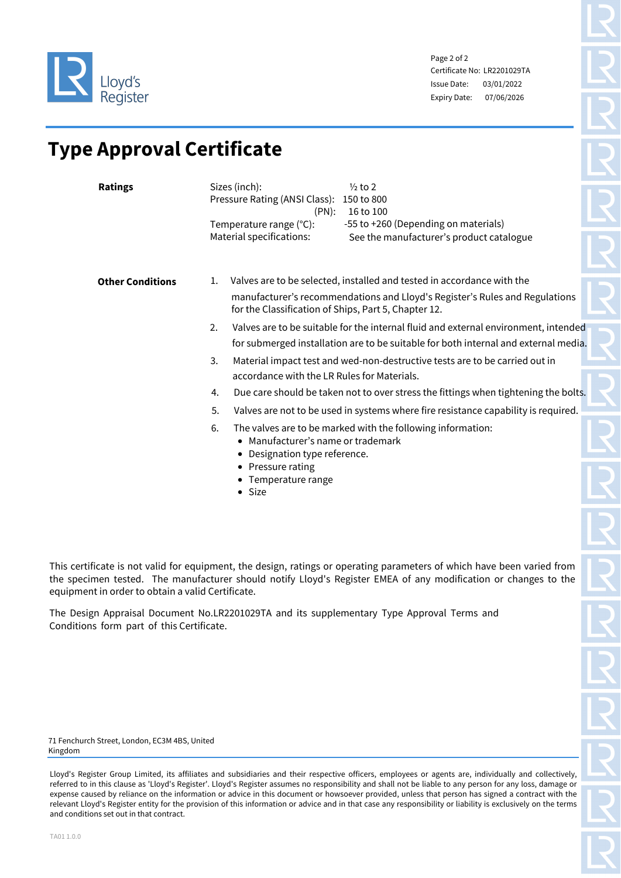

Page 2 of 2 Certificate No: LR2201029TA Issue Date: Expiry Date: 07/06/2026 03/01/2022

## **Type Approval Certificate**

| <b>Ratings</b>          | Sizes (inch):<br>$\frac{1}{2}$ to 2<br>Pressure Rating (ANSI Class):<br>150 to 800<br>(PN):<br>16 to 100<br>-55 to +260 (Depending on materials)<br>Temperature range (°C):        |
|-------------------------|------------------------------------------------------------------------------------------------------------------------------------------------------------------------------------|
|                         | Material specifications:<br>See the manufacturer's product catalogue                                                                                                               |
| <b>Other Conditions</b> | Valves are to be selected, installed and tested in accordance with the<br>1.                                                                                                       |
|                         | manufacturer's recommendations and Lloyd's Register's Rules and Regulations<br>for the Classification of Ships, Part 5, Chapter 12.                                                |
|                         | 2.<br>Valves are to be suitable for the internal fluid and external environment, intended<br>for submerged installation are to be suitable for both internal and external media.   |
|                         | Material impact test and wed-non-destructive tests are to be carried out in<br>3.<br>accordance with the LR Rules for Materials.                                                   |
|                         | Due care should be taken not to over stress the fittings when tightening the bolts.<br>4.                                                                                          |
|                         | 5.<br>Valves are not to be used in systems where fire resistance capability is required.                                                                                           |
|                         | 6.<br>The valves are to be marked with the following information:<br>Manufacturer's name or trademark<br>• Designation type reference.<br>• Pressure rating<br>• Temperature range |

• Size

This certificate is not valid for equipment, the design, ratings or operating parameters of which have been varied from the specimen tested. The manufacturer should notify Lloyd's Register EMEA of any modification or changes to the equipment in order to obtain a valid Certificate.

The Design Appraisal Document No.LR2201029TA and its supplementary Type Approval Terms and Conditions form part of this Certificate.

71 Fenchurch Street, London, EC3M 4BS, United Kingdom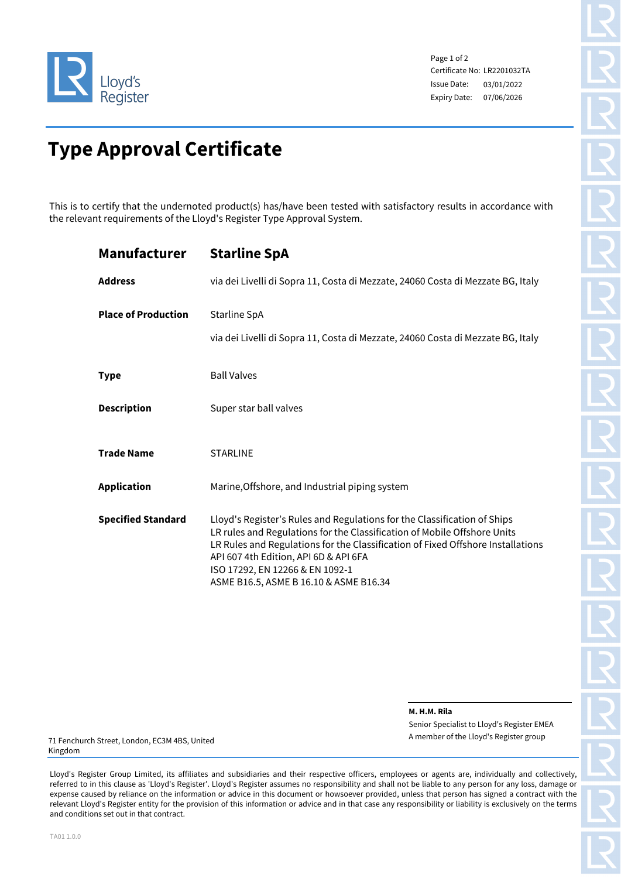

Page 1 of 2 Certificate No: LR2201032TA Issue Date: Expiry Date: 07/06/2026 03/01/2022

# **Type Approval Certificate**

This is to certify that the undernoted product(s) has/have been tested with satisfactory results in accordance with the relevant requirements of the Lloyd's Register Type Approval System.

| <b>Manufacturer</b>        | <b>Starline SpA</b>                                                                                                                                                                                                                                                                                                                                           |
|----------------------------|---------------------------------------------------------------------------------------------------------------------------------------------------------------------------------------------------------------------------------------------------------------------------------------------------------------------------------------------------------------|
| <b>Address</b>             | via dei Livelli di Sopra 11, Costa di Mezzate, 24060 Costa di Mezzate BG, Italy                                                                                                                                                                                                                                                                               |
| <b>Place of Production</b> | Starline SpA                                                                                                                                                                                                                                                                                                                                                  |
|                            | via dei Livelli di Sopra 11, Costa di Mezzate, 24060 Costa di Mezzate BG, Italy                                                                                                                                                                                                                                                                               |
| <b>Type</b>                | <b>Ball Valves</b>                                                                                                                                                                                                                                                                                                                                            |
| <b>Description</b>         | Super star ball valves                                                                                                                                                                                                                                                                                                                                        |
| <b>Trade Name</b>          | <b>STARLINE</b>                                                                                                                                                                                                                                                                                                                                               |
| <b>Application</b>         | Marine, Offshore, and Industrial piping system                                                                                                                                                                                                                                                                                                                |
| <b>Specified Standard</b>  | Lloyd's Register's Rules and Regulations for the Classification of Ships<br>LR rules and Regulations for the Classification of Mobile Offshore Units<br>LR Rules and Regulations for the Classification of Fixed Offshore Installations<br>API 607 4th Edition, API 6D & API 6FA<br>ISO 17292, EN 12266 & EN 1092-1<br>ASME B16.5, ASME B 16.10 & ASME B16.34 |

**M. H.M. Rila**

Senior Specialist to Lloyd's Register EMEA A member of the Lloyd's Register group

71 Fenchurch Street, London, EC3M 4BS, United Kingdom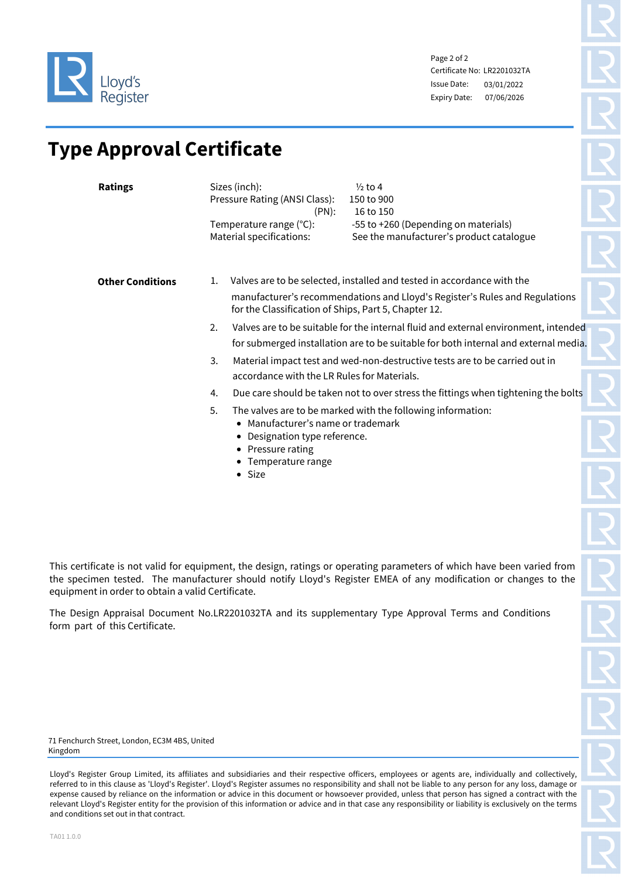

Page 2 of 2 Certificate No: LR2201032TA Issue Date: Expiry Date: 07/06/2026 03/01/2022

## **Type Approval Certificate**

| <b>Ratings</b>          | Sizes (inch):<br>$\frac{1}{2}$ to 4<br>Pressure Rating (ANSI Class):<br>150 to 900<br>$(PN)$ :<br>16 to 150<br>-55 to +260 (Depending on materials)<br>Temperature range (°C):<br>Material specifications:<br>See the manufacturer's product catalogue                                                                                                                                                                                                                                                                                      |
|-------------------------|---------------------------------------------------------------------------------------------------------------------------------------------------------------------------------------------------------------------------------------------------------------------------------------------------------------------------------------------------------------------------------------------------------------------------------------------------------------------------------------------------------------------------------------------|
| <b>Other Conditions</b> | Valves are to be selected, installed and tested in accordance with the<br>1.<br>manufacturer's recommendations and Lloyd's Register's Rules and Regulations<br>for the Classification of Ships, Part 5, Chapter 12.<br>2.<br>Valves are to be suitable for the internal fluid and external environment, intended<br>for submerged installation are to be suitable for both internal and external media.<br>3.<br>Material impact test and wed-non-destructive tests are to be carried out in<br>accordance with the LR Rules for Materials. |
|                         | Due care should be taken not to over stress the fittings when tightening the bolts<br>4.<br>5.<br>The valves are to be marked with the following information:                                                                                                                                                                                                                                                                                                                                                                               |
|                         | Manufacturer's name or trademark<br>Designation type reference.<br>• Pressure rating<br>• Temperature range<br>$\bullet$ Size                                                                                                                                                                                                                                                                                                                                                                                                               |

This certificate is not valid for equipment, the design, ratings or operating parameters of which have been varied from the specimen tested. The manufacturer should notify Lloyd's Register EMEA of any modification or changes to the equipment in order to obtain a valid Certificate.

The Design Appraisal Document No.LR2201032TA and its supplementary Type Approval Terms and Conditions form part of this Certificate.

71 Fenchurch Street, London, EC3M 4BS, United Kingdom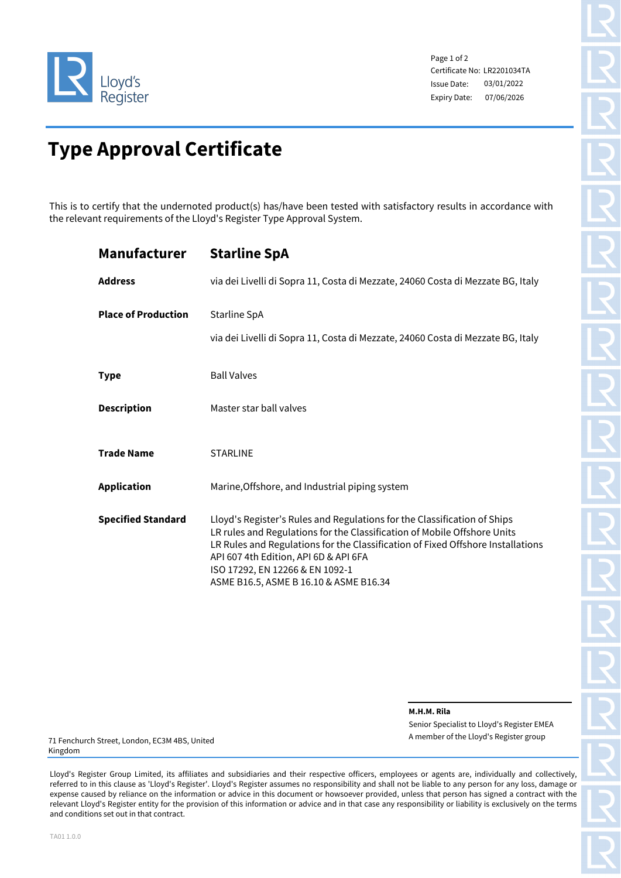

Page 1 of 2 Certificate No: LR2201034TA Issue Date: Expiry Date: 07/06/2026 03/01/2022

# **Type Approval Certificate**

This is to certify that the undernoted product(s) has/have been tested with satisfactory results in accordance with the relevant requirements of the Lloyd's Register Type Approval System.

| <b>Manufacturer</b>        | <b>Starline SpA</b>                                                                                                                                                                                                                                                                                                                                           |
|----------------------------|---------------------------------------------------------------------------------------------------------------------------------------------------------------------------------------------------------------------------------------------------------------------------------------------------------------------------------------------------------------|
| <b>Address</b>             | via dei Livelli di Sopra 11, Costa di Mezzate, 24060 Costa di Mezzate BG, Italy                                                                                                                                                                                                                                                                               |
| <b>Place of Production</b> | Starline SpA                                                                                                                                                                                                                                                                                                                                                  |
|                            | via dei Livelli di Sopra 11, Costa di Mezzate, 24060 Costa di Mezzate BG, Italy                                                                                                                                                                                                                                                                               |
| <b>Type</b>                | <b>Ball Valves</b>                                                                                                                                                                                                                                                                                                                                            |
| <b>Description</b>         | Master star ball valves                                                                                                                                                                                                                                                                                                                                       |
| <b>Trade Name</b>          | <b>STARLINE</b>                                                                                                                                                                                                                                                                                                                                               |
| <b>Application</b>         | Marine, Offshore, and Industrial piping system                                                                                                                                                                                                                                                                                                                |
| <b>Specified Standard</b>  | Lloyd's Register's Rules and Regulations for the Classification of Ships<br>LR rules and Regulations for the Classification of Mobile Offshore Units<br>LR Rules and Regulations for the Classification of Fixed Offshore Installations<br>API 607 4th Edition, API 6D & API 6FA<br>ISO 17292, EN 12266 & EN 1092-1<br>ASME B16.5, ASME B 16.10 & ASME B16.34 |

**M.H.M. Rila**

Senior Specialist to Lloyd's Register EMEA A member of the Lloyd's Register group

71 Fenchurch Street, London, EC3M 4BS, United Kingdom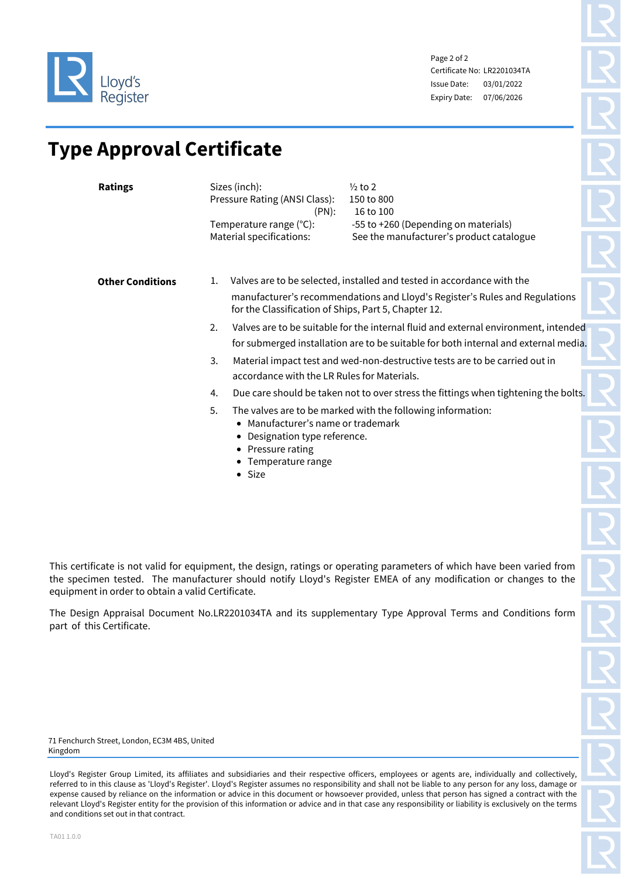

Page 2 of 2 Certificate No: LR2201034TA Issue Date: Expiry Date: 07/06/2026 03/01/2022

## **Type Approval Certificate**

| <b>Ratings</b>          | Sizes (inch):<br>$\frac{1}{2}$ to 2<br>Pressure Rating (ANSI Class):<br>150 to 800<br>$(PN)$ :<br>16 to 100<br>-55 to +260 (Depending on materials)<br>Temperature range (°C):<br>Material specifications:<br>See the manufacturer's product catalogue                                                                                                                                                                                                                                                                                      |
|-------------------------|---------------------------------------------------------------------------------------------------------------------------------------------------------------------------------------------------------------------------------------------------------------------------------------------------------------------------------------------------------------------------------------------------------------------------------------------------------------------------------------------------------------------------------------------|
| <b>Other Conditions</b> | Valves are to be selected, installed and tested in accordance with the<br>1.<br>manufacturer's recommendations and Lloyd's Register's Rules and Regulations<br>for the Classification of Ships, Part 5, Chapter 12.<br>2.<br>Valves are to be suitable for the internal fluid and external environment, intended<br>for submerged installation are to be suitable for both internal and external media.<br>3.<br>Material impact test and wed-non-destructive tests are to be carried out in<br>accordance with the LR Rules for Materials. |
|                         | Due care should be taken not to over stress the fittings when tightening the bolts.<br>4.<br>5.<br>The valves are to be marked with the following information:<br>Manufacturer's name or trademark<br>Designation type reference.<br>• Pressure rating<br>• Temperature range<br>$\bullet$ Size                                                                                                                                                                                                                                             |

This certificate is not valid for equipment, the design, ratings or operating parameters of which have been varied from the specimen tested. The manufacturer should notify Lloyd's Register EMEA of any modification or changes to the equipment in order to obtain a valid Certificate.

The Design Appraisal Document No.LR2201034TA and its supplementary Type Approval Terms and Conditions form part of this Certificate.

71 Fenchurch Street, London, EC3M 4BS, United Kingdom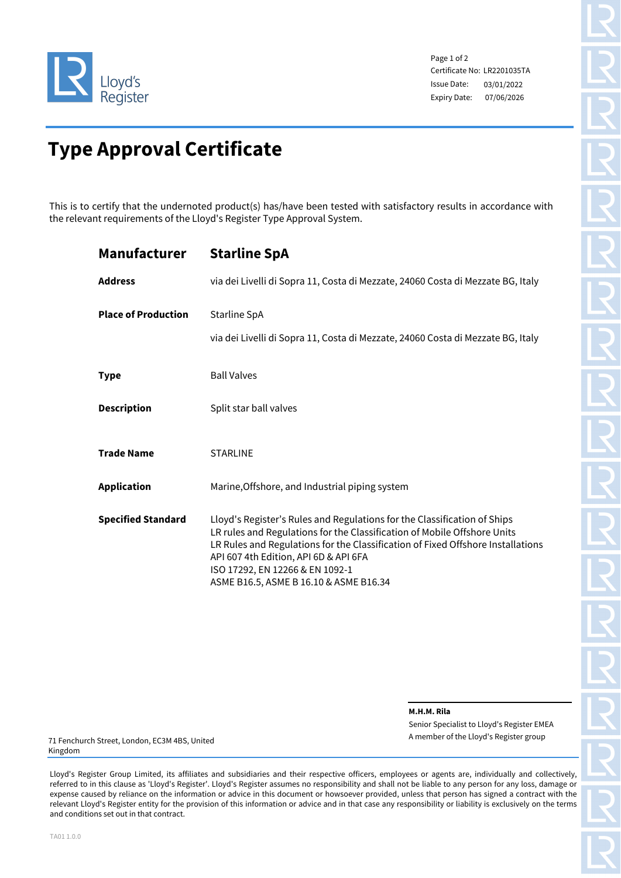

Page 1 of 2 Certificate No: LR2201035TA Issue Date: Expiry Date: 07/06/2026 03/01/2022

# **Type Approval Certificate**

This is to certify that the undernoted product(s) has/have been tested with satisfactory results in accordance with the relevant requirements of the Lloyd's Register Type Approval System.

| <b>Manufacturer</b>        | <b>Starline SpA</b>                                                                                                                                                                                                                                                                                                                                           |
|----------------------------|---------------------------------------------------------------------------------------------------------------------------------------------------------------------------------------------------------------------------------------------------------------------------------------------------------------------------------------------------------------|
| <b>Address</b>             | via dei Livelli di Sopra 11, Costa di Mezzate, 24060 Costa di Mezzate BG, Italy                                                                                                                                                                                                                                                                               |
| <b>Place of Production</b> | Starline SpA                                                                                                                                                                                                                                                                                                                                                  |
|                            | via dei Livelli di Sopra 11, Costa di Mezzate, 24060 Costa di Mezzate BG, Italy                                                                                                                                                                                                                                                                               |
| <b>Type</b>                | <b>Ball Valves</b>                                                                                                                                                                                                                                                                                                                                            |
| <b>Description</b>         | Split star ball valves                                                                                                                                                                                                                                                                                                                                        |
| <b>Trade Name</b>          | <b>STARLINE</b>                                                                                                                                                                                                                                                                                                                                               |
| <b>Application</b>         | Marine, Offshore, and Industrial piping system                                                                                                                                                                                                                                                                                                                |
| <b>Specified Standard</b>  | Lloyd's Register's Rules and Regulations for the Classification of Ships<br>LR rules and Regulations for the Classification of Mobile Offshore Units<br>LR Rules and Regulations for the Classification of Fixed Offshore Installations<br>API 607 4th Edition, API 6D & API 6FA<br>ISO 17292, EN 12266 & EN 1092-1<br>ASME B16.5, ASME B 16.10 & ASME B16.34 |

**M.H.M. Rila**

Senior Specialist to Lloyd's Register EMEA A member of the Lloyd's Register group

71 Fenchurch Street, London, EC3M 4BS, United Kingdom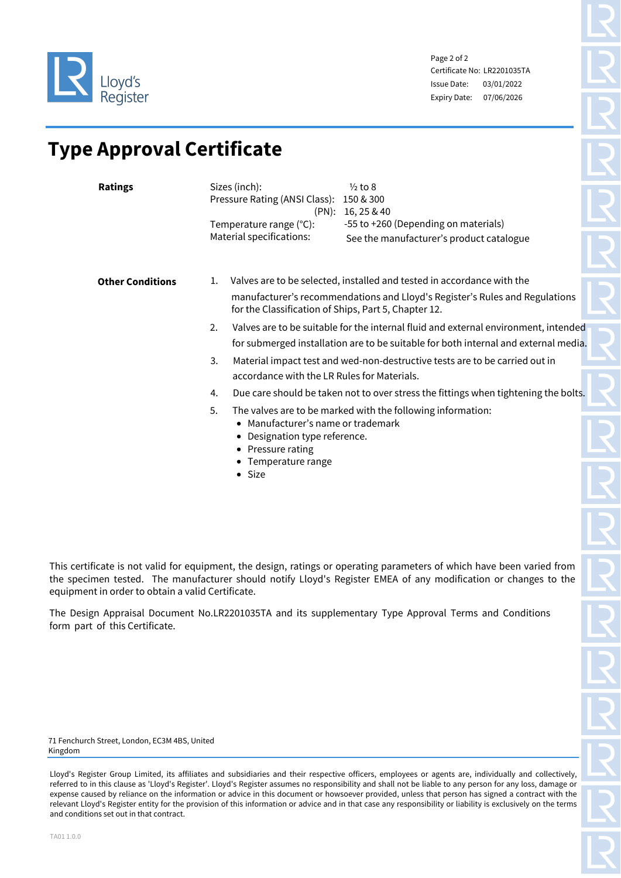

Page 2 of 2 Certificate No: LR2201035TA Issue Date: Expiry Date: 07/06/2026 03/01/2022

## **Type Approval Certificate**

| <b>Ratings</b>          | Sizes (inch):<br>$\frac{1}{2}$ to 8<br>Pressure Rating (ANSI Class):<br>150 & 300<br>(PN): 16, 25 & 40<br>-55 to +260 (Depending on materials)<br>Temperature range (°C):<br>Material specifications:<br>See the manufacturer's product catalogue                                                                                                                                                                                                                                                                                           |
|-------------------------|---------------------------------------------------------------------------------------------------------------------------------------------------------------------------------------------------------------------------------------------------------------------------------------------------------------------------------------------------------------------------------------------------------------------------------------------------------------------------------------------------------------------------------------------|
| <b>Other Conditions</b> | Valves are to be selected, installed and tested in accordance with the<br>1.<br>manufacturer's recommendations and Lloyd's Register's Rules and Regulations<br>for the Classification of Ships, Part 5, Chapter 12.<br>Valves are to be suitable for the internal fluid and external environment, intended<br>2.<br>for submerged installation are to be suitable for both internal and external media.<br>Material impact test and wed-non-destructive tests are to be carried out in<br>3.<br>accordance with the LR Rules for Materials. |
|                         | Due care should be taken not to over stress the fittings when tightening the bolts.<br>4.<br>The valves are to be marked with the following information:<br>5.<br>• Manufacturer's name or trademark<br>Designation type reference.<br>• Pressure rating<br>• Temperature range<br>• Size                                                                                                                                                                                                                                                   |

This certificate is not valid for equipment, the design, ratings or operating parameters of which have been varied from the specimen tested. The manufacturer should notify Lloyd's Register EMEA of any modification or changes to the equipment in order to obtain a valid Certificate.

The Design Appraisal Document No.LR2201035TA and its supplementary Type Approval Terms and Conditions form part of this Certificate.

71 Fenchurch Street, London, EC3M 4BS, United Kingdom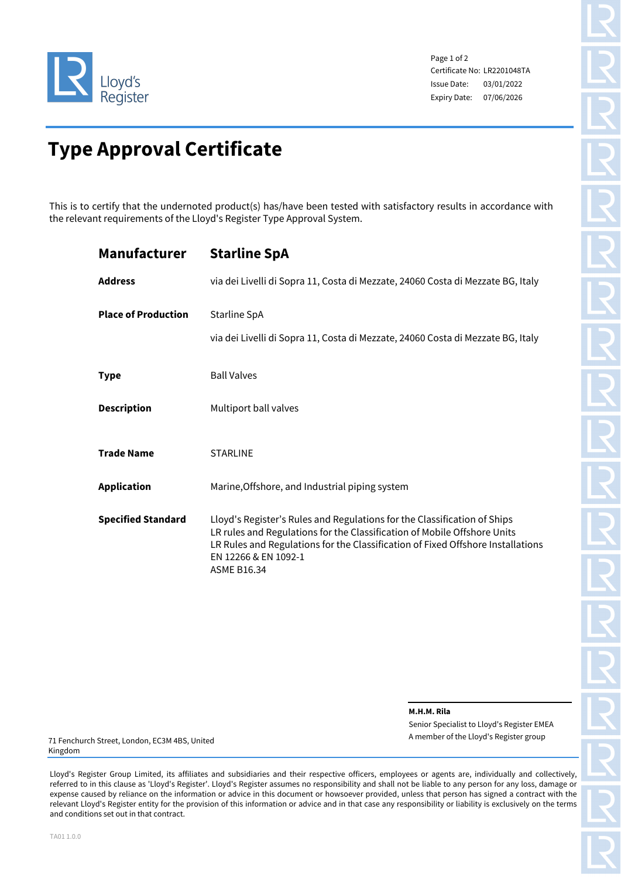

Page 1 of 2 Certificate No: LR2201048TA Issue Date: Expiry Date: 07/06/2026 03/01/2022

# **Type Approval Certificate**

This is to certify that the undernoted product(s) has/have been tested with satisfactory results in accordance with the relevant requirements of the Lloyd's Register Type Approval System.

| <b>Manufacturer</b>        | <b>Starline SpA</b>                                                                                                                                                                                                                                                                   |
|----------------------------|---------------------------------------------------------------------------------------------------------------------------------------------------------------------------------------------------------------------------------------------------------------------------------------|
| <b>Address</b>             | via dei Livelli di Sopra 11, Costa di Mezzate, 24060 Costa di Mezzate BG, Italy                                                                                                                                                                                                       |
| <b>Place of Production</b> | Starline SpA<br>via dei Livelli di Sopra 11, Costa di Mezzate, 24060 Costa di Mezzate BG, Italy                                                                                                                                                                                       |
| <b>Type</b>                | <b>Ball Valves</b>                                                                                                                                                                                                                                                                    |
| <b>Description</b>         | Multiport ball valves                                                                                                                                                                                                                                                                 |
| <b>Trade Name</b>          | <b>STARLINE</b>                                                                                                                                                                                                                                                                       |
| <b>Application</b>         | Marine, Offshore, and Industrial piping system                                                                                                                                                                                                                                        |
| <b>Specified Standard</b>  | Lloyd's Register's Rules and Regulations for the Classification of Ships<br>LR rules and Regulations for the Classification of Mobile Offshore Units<br>LR Rules and Regulations for the Classification of Fixed Offshore Installations<br>EN 12266 & EN 1092-1<br><b>ASME B16.34</b> |

**M.H.M. Rila**

Senior Specialist to Lloyd's Register EMEA A member of the Lloyd's Register group

71 Fenchurch Street, London, EC3M 4BS, United Kingdom